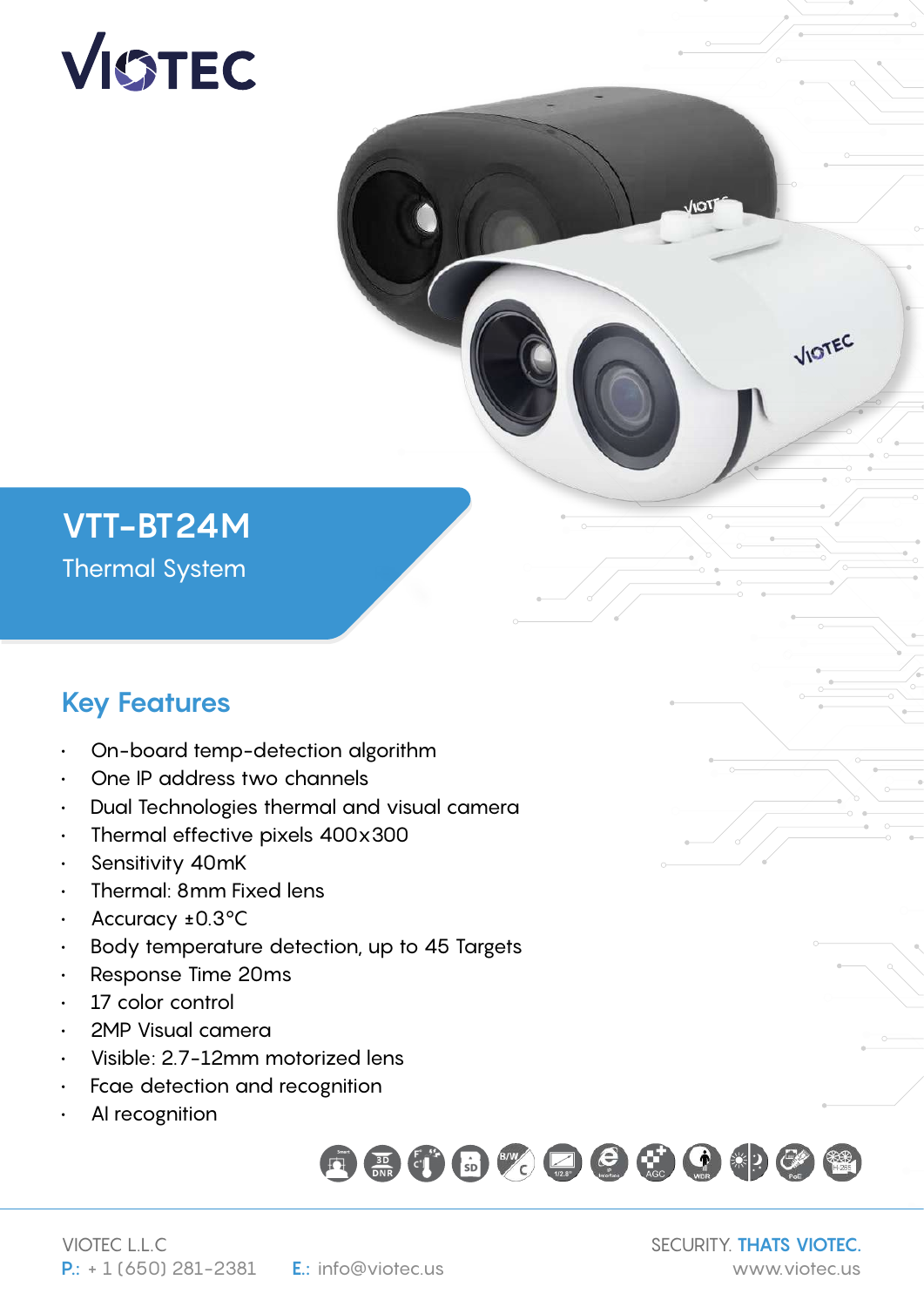# VISTEC

## **VTT-BT24M** Thermal System

## **Key Features**

- On-board temp-detection algorithm
- One IP address two channels
- Dual Technologies thermal and visual camera
- Thermal effective pixels 400x300
- Sensitivity 40mK
- Thermal: 8mm Fixed lens
- Accuracy ±0.3°C
- Body temperature detection, up to 45 Targets
- Response Time 20ms
- 17 color control
- 2MP Visual camera
- Visible: 2.7-12mm motorized lens
- Fcae detection and recognition
- AI recognition



SECURITY. **THATS VIOTEC.**

VIOTEC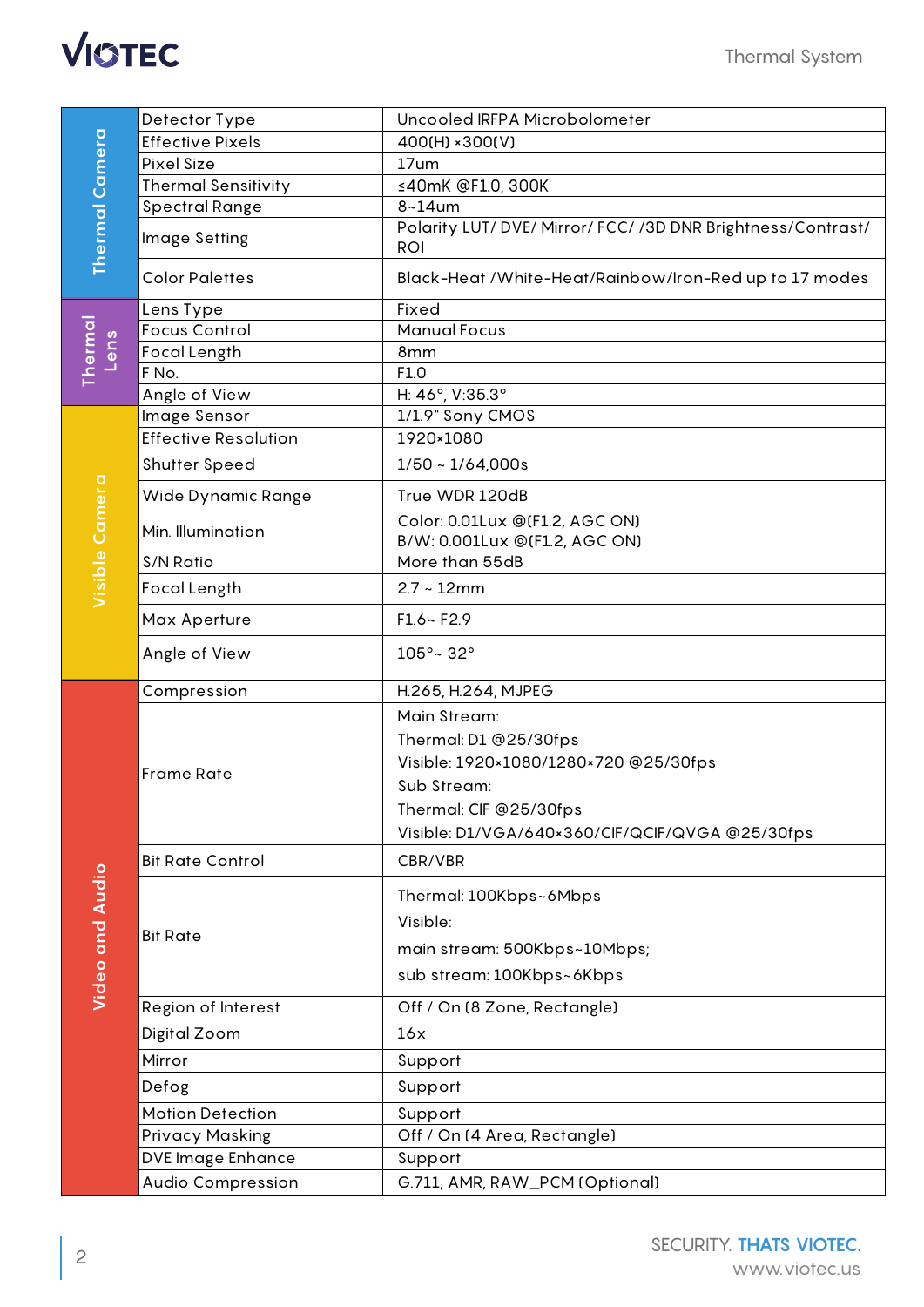

| <b>Thermal Camera</b>  | Detector Type               | Uncooled IRFPA Microbolometer                           |
|------------------------|-----------------------------|---------------------------------------------------------|
|                        | <b>Effective Pixels</b>     | 400(H) × 300(V)                                         |
|                        | <b>Pixel Size</b>           | 17um                                                    |
|                        | <b>Thermal Sensitivity</b>  | ≤40mK @F1.0, 300K                                       |
|                        | <b>Spectral Range</b>       | $8 - 14$ um                                             |
|                        |                             | Polarity LUT/DVE/Mirror/FCC//3DDNR Brightness/Contrast/ |
|                        | Image Setting               | <b>ROI</b>                                              |
|                        | <b>Color Palettes</b>       | Black-Heat /White-Heat/Rainbow/Iron-Red up to 17 modes  |
| <b>Thermal</b><br>Lens | Lens Type                   | Fixed                                                   |
|                        | <b>Focus Control</b>        | <b>Manual Focus</b>                                     |
|                        | <b>Focal Length</b>         | 8mm                                                     |
|                        | F No.                       | F1.0                                                    |
|                        | Angle of View               | H: 46°, V:35.3°                                         |
| Visible Camera         | Image Sensor                | 1/1.9" Sony CMOS                                        |
|                        | <b>Effective Resolution</b> | 1920×1080                                               |
|                        | <b>Shutter Speed</b>        | $1/50 \sim 1/64,000s$                                   |
|                        | Wide Dynamic Range          | True WDR 120dB                                          |
|                        | Min. Illumination           | Color: 0.01Lux @(F1.2, AGC ON)                          |
|                        |                             | B/W: 0.001Lux @(F1.2, AGC ON)                           |
|                        | S/N Ratio                   | More than 55dB                                          |
|                        | Focal Length                | $2.7 - 12$ mm                                           |
|                        | Max Aperture                | $F1.6 - F2.9$                                           |
|                        | Angle of View               | 105°~32°                                                |
|                        | Compression                 | H.265, H.264, MJPEG                                     |
|                        |                             | Main Stream:                                            |
|                        | <b>Frame Rate</b>           | Thermal: D1 @25/30fps                                   |
|                        |                             | Visible: 1920×1080/1280×720 @25/30fps                   |
|                        |                             | Sub Stream:                                             |
|                        |                             | Thermal: CIF @25/30fps                                  |
|                        |                             | Visible: D1/VGA/640×360/CIF/QCIF/QVGA @25/30fps         |
|                        | <b>Bit Rate Control</b>     | CBR/VBR                                                 |
|                        |                             |                                                         |
|                        | <b>Bit Rate</b>             | Thermal: 100Kbps~6Mbps                                  |
|                        |                             | Visible:                                                |
| <b>Video and Audio</b> |                             | main stream: 500Kbps~10Mbps;                            |
|                        |                             | sub stream: 100Kbps~6Kbps                               |
|                        |                             |                                                         |
|                        | Region of Interest          | Off / On (8 Zone, Rectangle)                            |
|                        | Digital Zoom                | 16x                                                     |
|                        | Mirror                      | Support                                                 |
|                        | Defog                       | Support                                                 |
|                        | <b>Motion Detection</b>     | Support                                                 |
|                        | <b>Privacy Masking</b>      | Off / On (4 Area, Rectangle)                            |
|                        | DVE Image Enhance           | Support                                                 |
|                        | <b>Audio Compression</b>    | G.711, AMR, RAW_PCM (Optional)                          |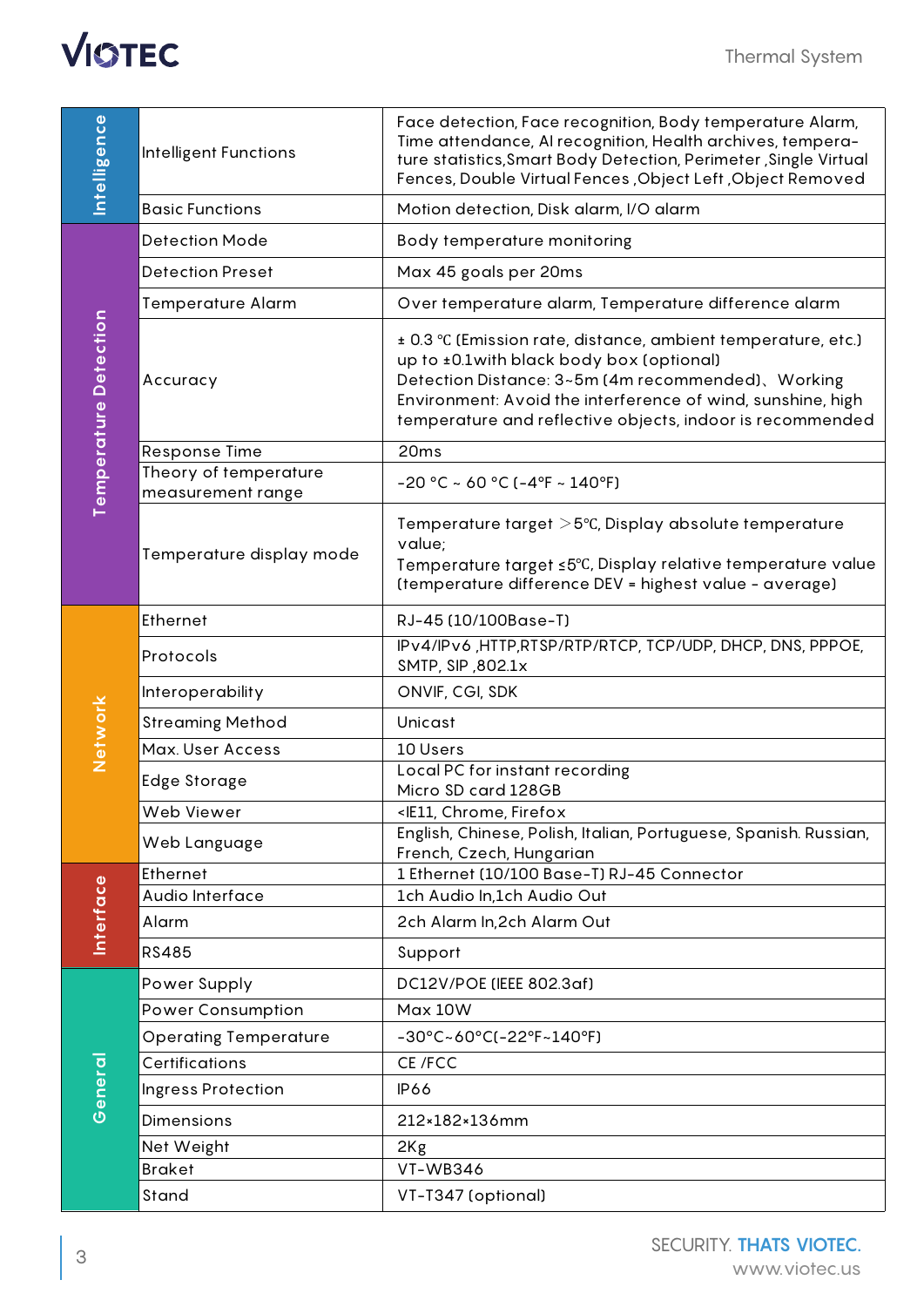

| ntelligence           | Intelligent Functions                      | Face detection, Face recognition, Body temperature Alarm,<br>Time attendance, AI recognition, Health archives, tempera-<br>ture statistics, Smart Body Detection, Perimeter, Single Virtual<br>Fences, Double Virtual Fences, Object Left, Object Removed                                    |
|-----------------------|--------------------------------------------|----------------------------------------------------------------------------------------------------------------------------------------------------------------------------------------------------------------------------------------------------------------------------------------------|
|                       | <b>Basic Functions</b>                     | Motion detection, Disk alarm, I/O alarm                                                                                                                                                                                                                                                      |
| Temperature Detection | <b>Detection Mode</b>                      | Body temperature monitoring                                                                                                                                                                                                                                                                  |
|                       | <b>Detection Preset</b>                    | Max 45 goals per 20ms                                                                                                                                                                                                                                                                        |
|                       | <b>Temperature Alarm</b>                   | Over temperature alarm, Temperature difference alarm                                                                                                                                                                                                                                         |
|                       | Accuracy                                   | ± 0.3 °C (Emission rate, distance, ambient temperature, etc.)<br>up to ±0.1 with black body box (optional)<br>Detection Distance: 3~5m (4m recommended), Working<br>Environment: Avoid the interference of wind, sunshine, high<br>temperature and reflective objects, indoor is recommended |
|                       | <b>Response Time</b>                       | 20ms                                                                                                                                                                                                                                                                                         |
|                       | Theory of temperature<br>measurement range | $-20$ °C ~ 60 °C ( $-4$ °F ~ 140°F)                                                                                                                                                                                                                                                          |
|                       | Temperature display mode                   | Temperature target $>5^{\circ}$ C, Display absolute temperature<br>value;<br>Temperature target ≤5°C, Display relative temperature value<br>(temperature difference DEV = highest value - average)                                                                                           |
| Network               | Ethernet                                   | RJ-45 (10/100Base-T)                                                                                                                                                                                                                                                                         |
|                       | Protocols                                  | IPv4/IPv6, HTTP, RTSP/RTP/RTCP, TCP/UDP, DHCP, DNS, PPPOE,<br>SMTP, SIP, 802.1x                                                                                                                                                                                                              |
|                       | Interoperability                           | ONVIF, CGI, SDK                                                                                                                                                                                                                                                                              |
|                       | <b>Streaming Method</b>                    | Unicast                                                                                                                                                                                                                                                                                      |
|                       | Max. User Access                           | 10 Users                                                                                                                                                                                                                                                                                     |
|                       | Edge Storage                               | Local PC for instant recording<br>Micro SD card 128GB                                                                                                                                                                                                                                        |
|                       | Web Viewer                                 | <ie11, chrome,="" firefox<="" td=""></ie11,>                                                                                                                                                                                                                                                 |
|                       | Web Language                               | English, Chinese, Polish, Italian, Portuguese, Spanish. Russian,<br>French, Czech, Hungarian                                                                                                                                                                                                 |
| Interface             | Ethernet                                   | 1 Ethernet (10/100 Base-T) RJ-45 Connector                                                                                                                                                                                                                                                   |
|                       | Audio Interface                            | 1ch Audio In,1ch Audio Out                                                                                                                                                                                                                                                                   |
|                       | Alarm                                      | 2ch Alarm In, 2ch Alarm Out                                                                                                                                                                                                                                                                  |
|                       | <b>RS485</b>                               | Support                                                                                                                                                                                                                                                                                      |
| General               | Power Supply                               | DC12V/POE (IEEE 802.3af)                                                                                                                                                                                                                                                                     |
|                       | <b>Power Consumption</b>                   | Max 10W                                                                                                                                                                                                                                                                                      |
|                       | <b>Operating Temperature</b>               | -30°C~60°C(-22°F~140°F)                                                                                                                                                                                                                                                                      |
|                       | Certifications                             | CE /FCC                                                                                                                                                                                                                                                                                      |
|                       | Ingress Protection                         | <b>IP66</b>                                                                                                                                                                                                                                                                                  |
|                       | Dimensions                                 | 212×182×136mm                                                                                                                                                                                                                                                                                |
|                       | Net Weight                                 | 2Kg                                                                                                                                                                                                                                                                                          |
|                       | <b>Braket</b>                              | <b>VT-WB346</b>                                                                                                                                                                                                                                                                              |
|                       | Stand                                      | VT-T347 (optional)                                                                                                                                                                                                                                                                           |